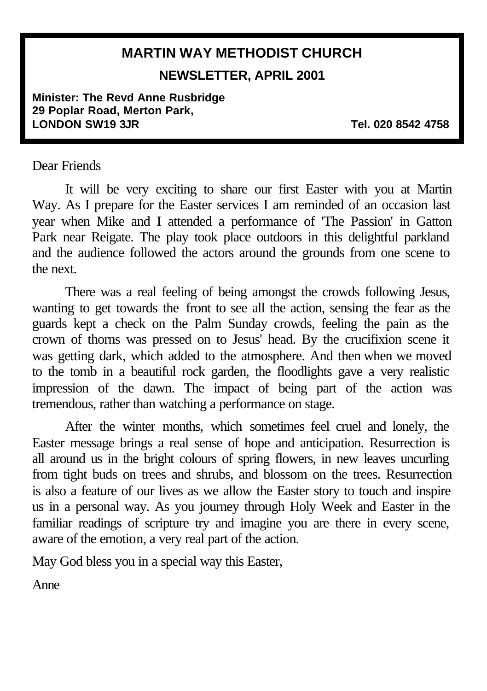## **MARTIN WAY METHODIST CHURCH NEWSLETTER, APRIL 2001**

**Minister: The Revd Anne Rusbridge 29 Poplar Road, Merton Park, LONDON SW19 3JR Tel. 020 8542 4758**

#### Dear Friends

It will be very exciting to share our first Easter with you at Martin Way. As I prepare for the Easter services I am reminded of an occasion last year when Mike and I attended a performance of 'The Passion' in Gatton Park near Reigate. The play took place outdoors in this delightful parkland and the audience followed the actors around the grounds from one scene to the next.

There was a real feeling of being amongst the crowds following Jesus, wanting to get towards the front to see all the action, sensing the fear as the guards kept a check on the Palm Sunday crowds, feeling the pain as the crown of thorns was pressed on to Jesus' head. By the crucifixion scene it was getting dark, which added to the atmosphere. And then when we moved to the tomb in a beautiful rock garden, the floodlights gave a very realistic impression of the dawn. The impact of being part of the action was tremendous, rather than watching a performance on stage.

After the winter months, which sometimes feel cruel and lonely, the Easter message brings a real sense of hope and anticipation. Resurrection is all around us in the bright colours of spring flowers, in new leaves uncurling from tight buds on trees and shrubs, and blossom on the trees. Resurrection is also a feature of our lives as we allow the Easter story to touch and inspire us in a personal way. As you journey through Holy Week and Easter in the familiar readings of scripture try and imagine you are there in every scene, aware of the emotion, a very real part of the action.

May God bless you in a special way this Easter,

Anne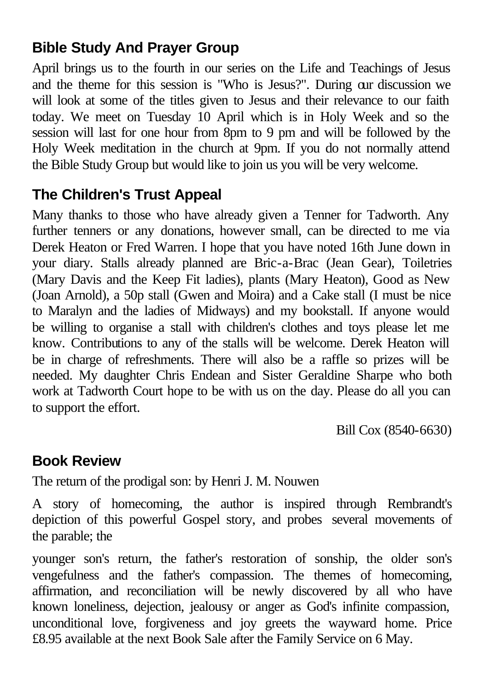### **Bible Study And Prayer Group**

April brings us to the fourth in our series on the Life and Teachings of Jesus and the theme for this session is "Who is Jesus?". During our discussion we will look at some of the titles given to Jesus and their relevance to our faith today. We meet on Tuesday 10 April which is in Holy Week and so the session will last for one hour from 8pm to 9 pm and will be followed by the Holy Week meditation in the church at 9pm. If you do not normally attend the Bible Study Group but would like to join us you will be very welcome.

### **The Children's Trust Appeal**

Many thanks to those who have already given a Tenner for Tadworth. Any further tenners or any donations, however small, can be directed to me via Derek Heaton or Fred Warren. I hope that you have noted 16th June down in your diary. Stalls already planned are Bric-a-Brac (Jean Gear), Toiletries (Mary Davis and the Keep Fit ladies), plants (Mary Heaton), Good as New (Joan Arnold), a 50p stall (Gwen and Moira) and a Cake stall (I must be nice to Maralyn and the ladies of Midways) and my bookstall. If anyone would be willing to organise a stall with children's clothes and toys please let me know. Contributions to any of the stalls will be welcome. Derek Heaton will be in charge of refreshments. There will also be a raffle so prizes will be needed. My daughter Chris Endean and Sister Geraldine Sharpe who both work at Tadworth Court hope to be with us on the day. Please do all you can to support the effort.

Bill Cox (8540-6630)

#### **Book Review**

The return of the prodigal son: by Henri J. M. Nouwen

A story of homecoming, the author is inspired through Rembrandt's depiction of this powerful Gospel story, and probes several movements of the parable; the

younger son's return, the father's restoration of sonship, the older son's vengefulness and the father's compassion. The themes of homecoming, affirmation, and reconciliation will be newly discovered by all who have known loneliness, dejection, jealousy or anger as God's infinite compassion, unconditional love, forgiveness and joy greets the wayward home. Price £8.95 available at the next Book Sale after the Family Service on 6 May.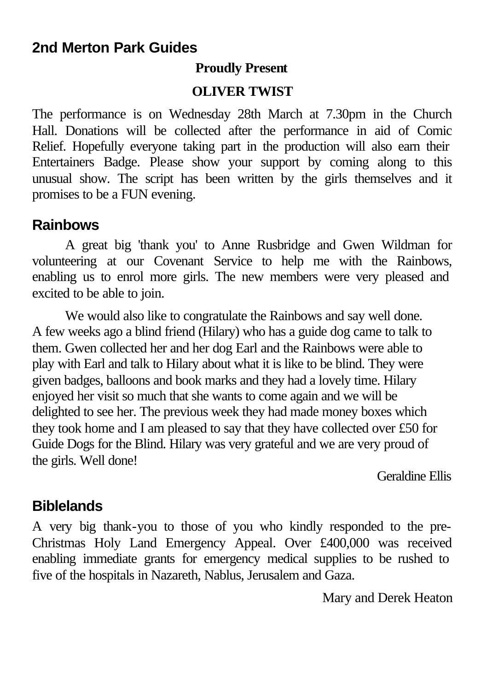#### **2nd Merton Park Guides**

#### **Proudly Present**

#### **OLIVER TWIST**

The performance is on Wednesday 28th March at 7.30pm in the Church Hall. Donations will be collected after the performance in aid of Comic Relief. Hopefully everyone taking part in the production will also earn their Entertainers Badge. Please show your support by coming along to this unusual show. The script has been written by the girls themselves and it promises to be a FUN evening.

### **Rainbows**

A great big 'thank you' to Anne Rusbridge and Gwen Wildman for volunteering at our Covenant Service to help me with the Rainbows, enabling us to enrol more girls. The new members were very pleased and excited to be able to join.

We would also like to congratulate the Rainbows and say well done. A few weeks ago a blind friend (Hilary) who has a guide dog came to talk to them. Gwen collected her and her dog Earl and the Rainbows were able to play with Earl and talk to Hilary about what it is like to be blind. They were given badges, balloons and book marks and they had a lovely time. Hilary enjoyed her visit so much that she wants to come again and we will be delighted to see her. The previous week they had made money boxes which they took home and I am pleased to say that they have collected over £50 for Guide Dogs for the Blind. Hilary was very grateful and we are very proud of the girls. Well done!

Geraldine Ellis

### **Biblelands**

A very big thank-you to those of you who kindly responded to the pre-Christmas Holy Land Emergency Appeal. Over £400,000 was received enabling immediate grants for emergency medical supplies to be rushed to five of the hospitals in Nazareth, Nablus, Jerusalem and Gaza.

Mary and Derek Heaton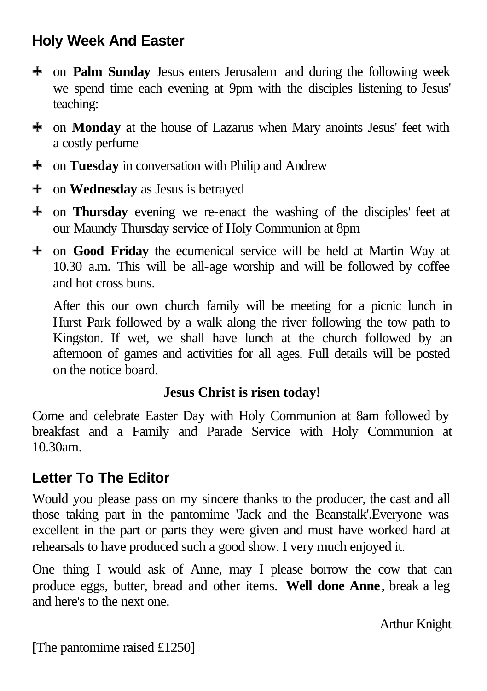## **Holy Week And Easter**

- 9 on **Palm Sunday** Jesus enters Jerusalem and during the following week we spend time each evening at 9pm with the disciples listening to Jesus' teaching:
- <sup> $\pm$ </sup> on **Monday** at the house of Lazarus when Mary anoints Jesus' feet with a costly perfume
- <sup> $\pm$ </sup> on **Tuesday** in conversation with Philip and Andrew
- <sup>+</sup> on **Wednesday** as Jesus is betrayed
- 9 on **Thursday** evening we re-enact the washing of the disciples' feet at our Maundy Thursday service of Holy Communion at 8pm
- 9 on **Good Friday** the ecumenical service will be held at Martin Way at 10.30 a.m. This will be all-age worship and will be followed by coffee and hot cross buns.

After this our own church family will be meeting for a picnic lunch in Hurst Park followed by a walk along the river following the tow path to Kingston. If wet, we shall have lunch at the church followed by an afternoon of games and activities for all ages. Full details will be posted on the notice board.

#### **Jesus Christ is risen today!**

Come and celebrate Easter Day with Holy Communion at 8am followed by breakfast and a Family and Parade Service with Holy Communion at 10.30am.

### **Letter To The Editor**

Would you please pass on my sincere thanks to the producer, the cast and all those taking part in the pantomime 'Jack and the Beanstalk'.Everyone was excellent in the part or parts they were given and must have worked hard at rehearsals to have produced such a good show. I very much enjoyed it.

One thing I would ask of Anne, may I please borrow the cow that can produce eggs, butter, bread and other items. **Well done Anne**, break a leg and here's to the next one.

Arthur Knight

[The pantomime raised £1250]